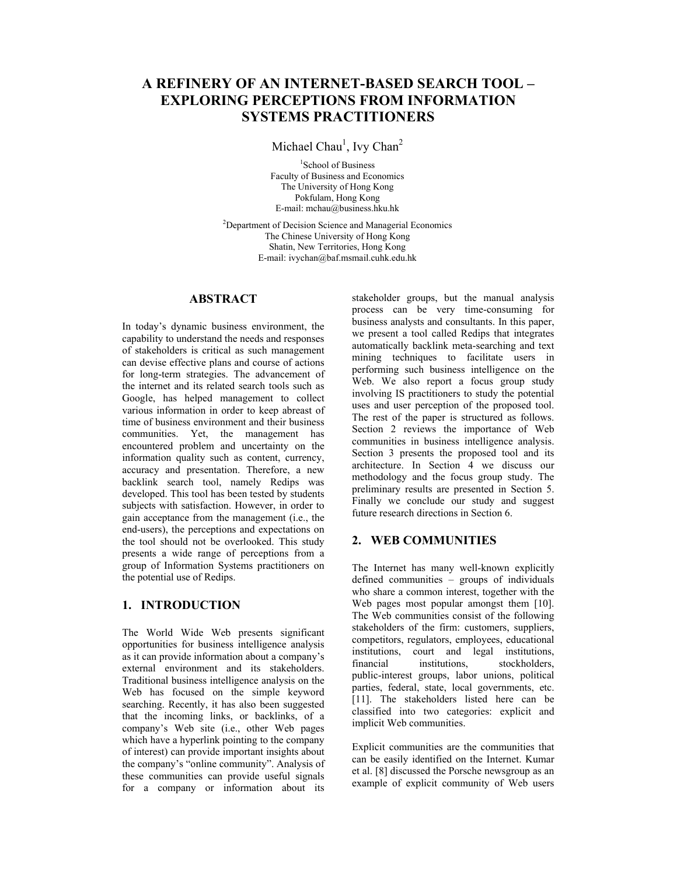# **A REFINERY OF AN INTERNET-BASED SEARCH TOOL – EXPLORING PERCEPTIONS FROM INFORMATION SYSTEMS PRACTITIONERS**

Michael Chau<sup>1</sup>, Ivy Chan<sup>2</sup>

<sup>1</sup>School of Business Faculty of Business and Economics The University of Hong Kong Pokfulam, Hong Kong E-mail: mchau@business.hku.hk

<sup>2</sup>Department of Decision Science and Managerial Economics The Chinese University of Hong Kong Shatin, New Territories, Hong Kong E-mail: ivychan@baf.msmail.cuhk.edu.hk

### **ABSTRACT**

In today's dynamic business environment, the capability to understand the needs and responses of stakeholders is critical as such management can devise effective plans and course of actions for long-term strategies. The advancement of the internet and its related search tools such as Google, has helped management to collect various information in order to keep abreast of time of business environment and their business communities. Yet, the management has encountered problem and uncertainty on the information quality such as content, currency, accuracy and presentation. Therefore, a new backlink search tool, namely Redips was developed. This tool has been tested by students subjects with satisfaction. However, in order to gain acceptance from the management (i.e., the end-users), the perceptions and expectations on the tool should not be overlooked. This study presents a wide range of perceptions from a group of Information Systems practitioners on the potential use of Redips.

# **1. INTRODUCTION**

The World Wide Web presents significant opportunities for business intelligence analysis as it can provide information about a company's external environment and its stakeholders. Traditional business intelligence analysis on the Web has focused on the simple keyword searching. Recently, it has also been suggested that the incoming links, or backlinks, of a company's Web site (i.e., other Web pages which have a hyperlink pointing to the company of interest) can provide important insights about the company's "online community". Analysis of these communities can provide useful signals for a company or information about its

stakeholder groups, but the manual analysis process can be very time-consuming for business analysts and consultants. In this paper, we present a tool called Redips that integrates automatically backlink meta-searching and text mining techniques to facilitate users in performing such business intelligence on the Web. We also report a focus group study involving IS practitioners to study the potential uses and user perception of the proposed tool. The rest of the paper is structured as follows. Section 2 reviews the importance of Web communities in business intelligence analysis. Section 3 presents the proposed tool and its architecture. In Section 4 we discuss our methodology and the focus group study. The preliminary results are presented in Section 5. Finally we conclude our study and suggest future research directions in Section 6.

# **2. WEB COMMUNITIES**

The Internet has many well-known explicitly defined communities – groups of individuals who share a common interest, together with the Web pages most popular amongst them [10]. The Web communities consist of the following stakeholders of the firm: customers, suppliers, competitors, regulators, employees, educational institutions, court and legal institutions,<br>financial institutions, stockholders, financial institutions, stockholders, public-interest groups, labor unions, political parties, federal, state, local governments, etc. [11]. The stakeholders listed here can be classified into two categories: explicit and implicit Web communities.

Explicit communities are the communities that can be easily identified on the Internet. Kumar et al. [8] discussed the Porsche newsgroup as an example of explicit community of Web users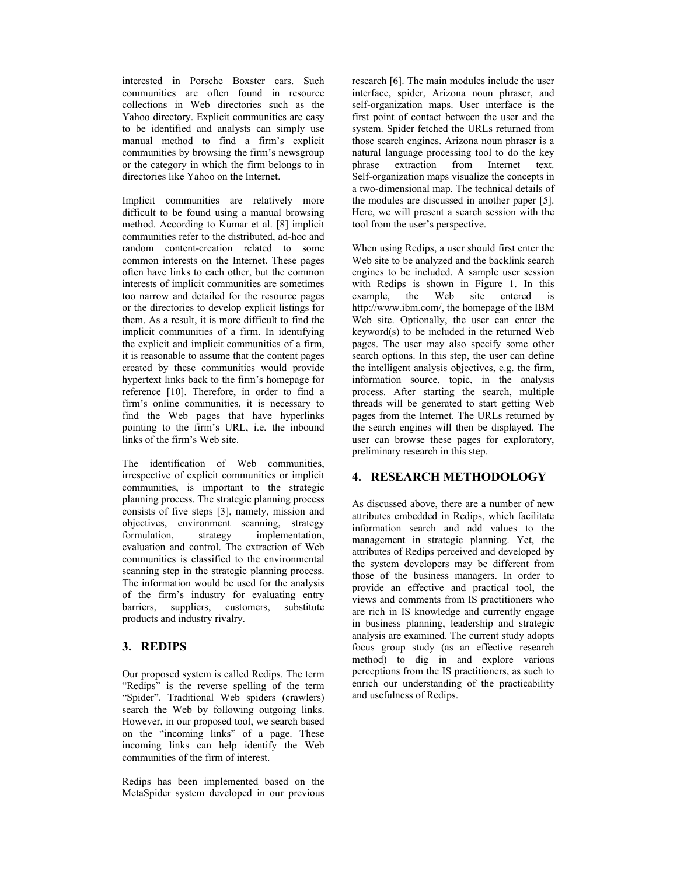interested in Porsche Boxster cars. Such communities are often found in resource collections in Web directories such as the Yahoo directory. Explicit communities are easy to be identified and analysts can simply use manual method to find a firm's explicit communities by browsing the firm's newsgroup or the category in which the firm belongs to in directories like Yahoo on the Internet.

Implicit communities are relatively more difficult to be found using a manual browsing method. According to Kumar et al. [8] implicit communities refer to the distributed, ad-hoc and random content-creation related to some common interests on the Internet. These pages often have links to each other, but the common interests of implicit communities are sometimes too narrow and detailed for the resource pages or the directories to develop explicit listings for them. As a result, it is more difficult to find the implicit communities of a firm. In identifying the explicit and implicit communities of a firm, it is reasonable to assume that the content pages created by these communities would provide hypertext links back to the firm's homepage for reference [10]. Therefore, in order to find a firm's online communities, it is necessary to find the Web pages that have hyperlinks pointing to the firm's URL, i.e. the inbound links of the firm's Web site.

The identification of Web communities, irrespective of explicit communities or implicit communities, is important to the strategic planning process. The strategic planning process consists of five steps [3], namely, mission and objectives, environment scanning, strategy formulation, strategy implementation, evaluation and control. The extraction of Web communities is classified to the environmental scanning step in the strategic planning process. The information would be used for the analysis of the firm's industry for evaluating entry barriers, suppliers, customers, substitute products and industry rivalry.

# **3. REDIPS**

Our proposed system is called Redips. The term "Redips" is the reverse spelling of the term "Spider". Traditional Web spiders (crawlers) search the Web by following outgoing links. However, in our proposed tool, we search based on the "incoming links" of a page. These incoming links can help identify the Web communities of the firm of interest.

Redips has been implemented based on the MetaSpider system developed in our previous research [6]. The main modules include the user interface, spider, Arizona noun phraser, and self-organization maps. User interface is the first point of contact between the user and the system. Spider fetched the URLs returned from those search engines. Arizona noun phraser is a natural language processing tool to do the key<br>phrase extraction from Internet text. extraction from Internet text. Self-organization maps visualize the concepts in a two-dimensional map. The technical details of the modules are discussed in another paper [5]. Here, we will present a search session with the tool from the user's perspective.

When using Redips, a user should first enter the Web site to be analyzed and the backlink search engines to be included. A sample user session with Redips is shown in Figure 1. In this example, the Web site entered is http://www.ibm.com/, the homepage of the IBM Web site. Optionally, the user can enter the keyword(s) to be included in the returned Web pages. The user may also specify some other search options. In this step, the user can define the intelligent analysis objectives, e.g. the firm, information source, topic, in the analysis process. After starting the search, multiple threads will be generated to start getting Web pages from the Internet. The URLs returned by the search engines will then be displayed. The user can browse these pages for exploratory, preliminary research in this step.

# **4. RESEARCH METHODOLOGY**

As discussed above, there are a number of new attributes embedded in Redips, which facilitate information search and add values to the management in strategic planning. Yet, the attributes of Redips perceived and developed by the system developers may be different from those of the business managers. In order to provide an effective and practical tool, the views and comments from IS practitioners who are rich in IS knowledge and currently engage in business planning, leadership and strategic analysis are examined. The current study adopts focus group study (as an effective research method) to dig in and explore various perceptions from the IS practitioners, as such to enrich our understanding of the practicability and usefulness of Redips.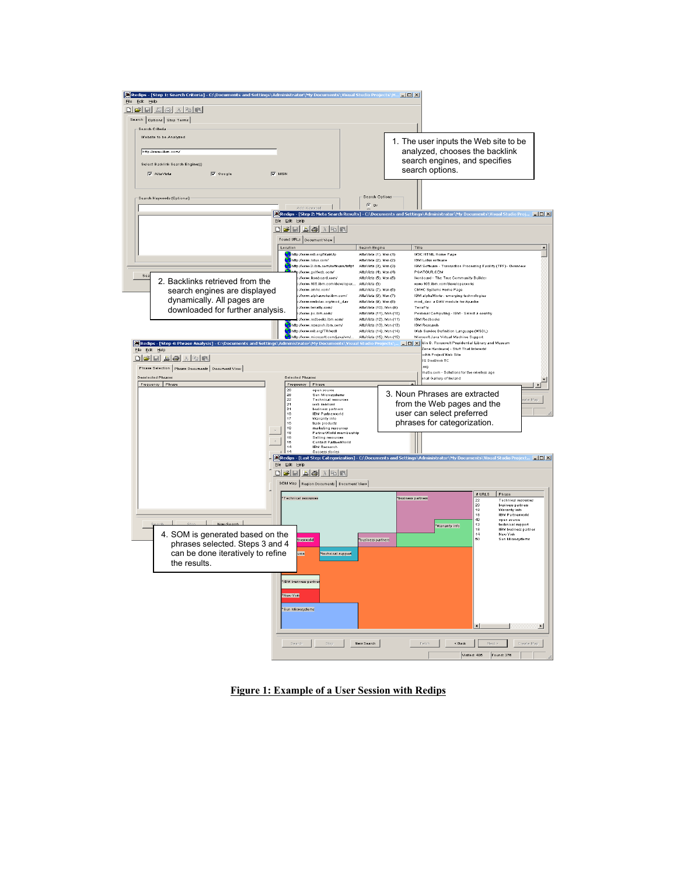

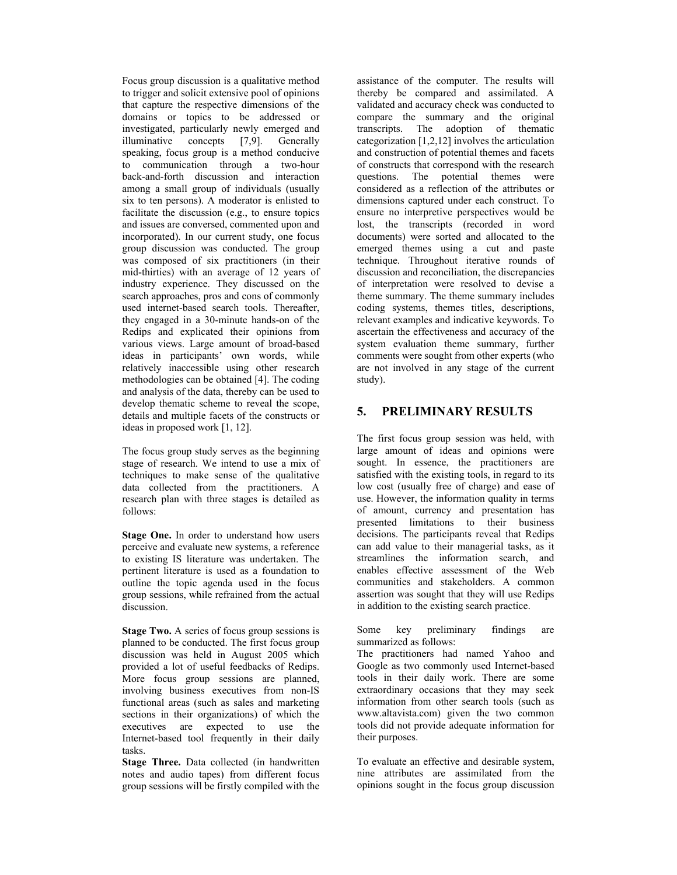Focus group discussion is a qualitative method to trigger and solicit extensive pool of opinions that capture the respective dimensions of the domains or topics to be addressed or investigated, particularly newly emerged and illuminative concepts [7,9]. Generally speaking, focus group is a method conducive to communication through a two-hour back-and-forth discussion and interaction among a small group of individuals (usually six to ten persons). A moderator is enlisted to facilitate the discussion (e.g., to ensure topics and issues are conversed, commented upon and incorporated). In our current study, one focus group discussion was conducted. The group was composed of six practitioners (in their mid-thirties) with an average of 12 years of industry experience. They discussed on the search approaches, pros and cons of commonly used internet-based search tools. Thereafter, they engaged in a 30-minute hands-on of the Redips and explicated their opinions from various views. Large amount of broad-based ideas in participants' own words, while relatively inaccessible using other research methodologies can be obtained [4]. The coding and analysis of the data, thereby can be used to develop thematic scheme to reveal the scope, details and multiple facets of the constructs or ideas in proposed work [1, 12].

The focus group study serves as the beginning stage of research. We intend to use a mix of techniques to make sense of the qualitative data collected from the practitioners. A research plan with three stages is detailed as follows:

**Stage One.** In order to understand how users perceive and evaluate new systems, a reference to existing IS literature was undertaken. The pertinent literature is used as a foundation to outline the topic agenda used in the focus group sessions, while refrained from the actual discussion.

**Stage Two.** A series of focus group sessions is planned to be conducted. The first focus group discussion was held in August 2005 which provided a lot of useful feedbacks of Redips. More focus group sessions are planned, involving business executives from non-IS functional areas (such as sales and marketing sections in their organizations) of which the executives are expected to use the Internet-based tool frequently in their daily tasks.

**Stage Three.** Data collected (in handwritten notes and audio tapes) from different focus group sessions will be firstly compiled with the

assistance of the computer. The results will thereby be compared and assimilated. A validated and accuracy check was conducted to compare the summary and the original transcripts. The adoption of thematic categorization [1,2,12] involves the articulation and construction of potential themes and facets of constructs that correspond with the research<br>questions. The potential themes were The potential themes were considered as a reflection of the attributes or dimensions captured under each construct. To ensure no interpretive perspectives would be lost, the transcripts (recorded in word documents) were sorted and allocated to the emerged themes using a cut and paste technique. Throughout iterative rounds of discussion and reconciliation, the discrepancies of interpretation were resolved to devise a theme summary. The theme summary includes coding systems, themes titles, descriptions, relevant examples and indicative keywords. To ascertain the effectiveness and accuracy of the system evaluation theme summary, further comments were sought from other experts (who are not involved in any stage of the current study).

# **5. PRELIMINARY RESULTS**

The first focus group session was held, with large amount of ideas and opinions were sought. In essence, the practitioners are satisfied with the existing tools, in regard to its low cost (usually free of charge) and ease of use. However, the information quality in terms of amount, currency and presentation has presented limitations to their business decisions. The participants reveal that Redips can add value to their managerial tasks, as it streamlines the information search, and enables effective assessment of the Web communities and stakeholders. A common assertion was sought that they will use Redips in addition to the existing search practice.

Some key preliminary findings are summarized as follows:

The practitioners had named Yahoo and Google as two commonly used Internet-based tools in their daily work. There are some extraordinary occasions that they may seek information from other search tools (such as www.altavista.com) given the two common tools did not provide adequate information for their purposes.

To evaluate an effective and desirable system, nine attributes are assimilated from the opinions sought in the focus group discussion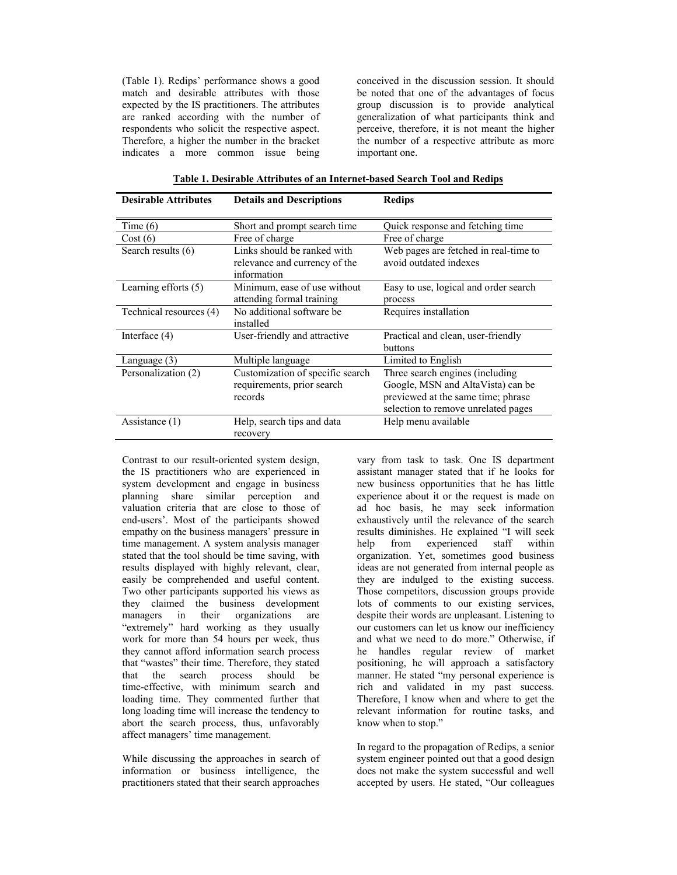(Table 1). Redips' performance shows a good match and desirable attributes with those expected by the IS practitioners. The attributes are ranked according with the number of respondents who solicit the respective aspect. Therefore, a higher the number in the bracket indicates a more common issue being conceived in the discussion session. It should be noted that one of the advantages of focus group discussion is to provide analytical generalization of what participants think and perceive, therefore, it is not meant the higher the number of a respective attribute as more important one.

| <b>Desirable Attributes</b> | <b>Details and Descriptions</b>                                           | <b>Redips</b>                                                                                                                                      |
|-----------------------------|---------------------------------------------------------------------------|----------------------------------------------------------------------------------------------------------------------------------------------------|
| Time $(6)$                  | Short and prompt search time                                              | Quick response and fetching time                                                                                                                   |
| Cost(6)                     | Free of charge                                                            | Free of charge                                                                                                                                     |
| Search results (6)          | Links should be ranked with<br>relevance and currency of the              | Web pages are fetched in real-time to<br>avoid outdated indexes                                                                                    |
| Learning efforts (5)        | information<br>Minimum, ease of use without                               | Easy to use, logical and order search                                                                                                              |
|                             | attending formal training                                                 | process                                                                                                                                            |
| Technical resources (4)     | No additional software be<br>installed                                    | Requires installation                                                                                                                              |
| Interface $(4)$             | User-friendly and attractive                                              | Practical and clean, user-friendly<br>buttons                                                                                                      |
| Language (3)                | Multiple language                                                         | Limited to English                                                                                                                                 |
| Personalization (2)         | Customization of specific search<br>requirements, prior search<br>records | Three search engines (including)<br>Google, MSN and AltaVista) can be<br>previewed at the same time; phrase<br>selection to remove unrelated pages |
| Assistance (1)              | Help, search tips and data<br>recovery                                    | Help menu available                                                                                                                                |

Contrast to our result-oriented system design, the IS practitioners who are experienced in system development and engage in business planning share similar perception and valuation criteria that are close to those of end-users'. Most of the participants showed empathy on the business managers' pressure in time management. A system analysis manager stated that the tool should be time saving, with results displayed with highly relevant, clear, easily be comprehended and useful content. Two other participants supported his views as they claimed the business development managers in their organizations are "extremely" hard working as they usually work for more than 54 hours per week, thus they cannot afford information search process that "wastes" their time. Therefore, they stated that the search process should be time-effective, with minimum search and loading time. They commented further that long loading time will increase the tendency to abort the search process, thus, unfavorably affect managers' time management.

While discussing the approaches in search of information or business intelligence, the practitioners stated that their search approaches

vary from task to task. One IS department assistant manager stated that if he looks for new business opportunities that he has little experience about it or the request is made on ad hoc basis, he may seek information exhaustively until the relevance of the search results diminishes. He explained "I will seek help from experienced staff within organization. Yet, sometimes good business ideas are not generated from internal people as they are indulged to the existing success. Those competitors, discussion groups provide lots of comments to our existing services, despite their words are unpleasant. Listening to our customers can let us know our inefficiency and what we need to do more." Otherwise, if he handles regular review of market positioning, he will approach a satisfactory manner. He stated "my personal experience is rich and validated in my past success. Therefore, I know when and where to get the relevant information for routine tasks, and know when to stop."

In regard to the propagation of Redips, a senior system engineer pointed out that a good design does not make the system successful and well accepted by users. He stated, "Our colleagues